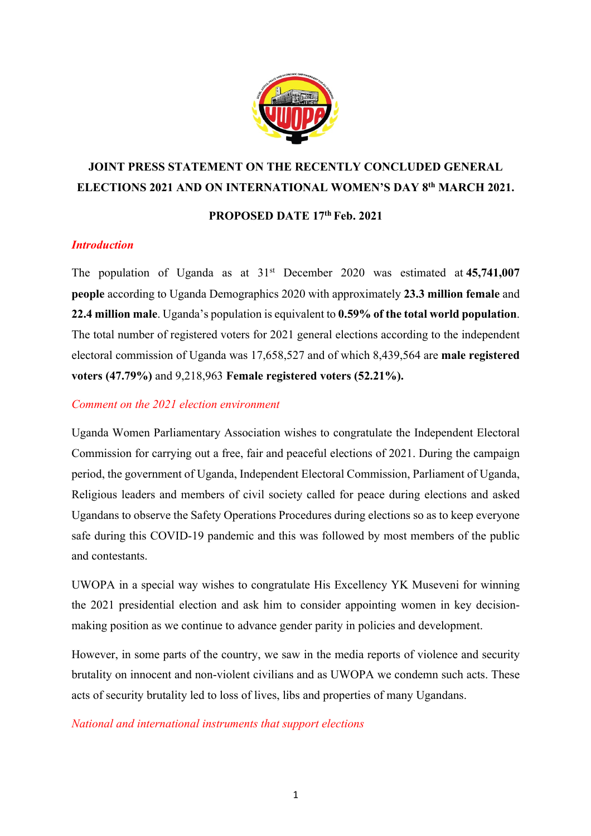

# **JOINT PRESS STATEMENT ON THE RECENTLY CONCLUDED GENERAL ELECTIONS 2021 AND ON INTERNATIONAL WOMEN'S DAY 8th MARCH 2021.**

## **PROPOSED DATE 17th Feb. 2021**

### *Introduction*

The population of Uganda as at  $31<sup>st</sup>$  December 2020 was estimated at 45,741,007 **people** according to Uganda Demographics 2020 with approximately **23.3 million female** and **22.4 million male**. Uganda's population is equivalent to **0.59% of the total world population**. The total number of registered voters for 2021 general elections according to the independent electoral commission of Uganda was 17,658,527 and of which 8,439,564 are **male registered voters (47.79%)** and 9,218,963 **Female registered voters (52.21%).**

#### *Comment on the 2021 election environment*

Uganda Women Parliamentary Association wishes to congratulate the Independent Electoral Commission for carrying out a free, fair and peaceful elections of 2021. During the campaign period, the government of Uganda, Independent Electoral Commission, Parliament of Uganda, Religious leaders and members of civil society called for peace during elections and asked Ugandans to observe the Safety Operations Procedures during elections so as to keep everyone safe during this COVID-19 pandemic and this was followed by most members of the public and contestants.

UWOPA in a special way wishes to congratulate His Excellency YK Museveni for winning the 2021 presidential election and ask him to consider appointing women in key decisionmaking position as we continue to advance gender parity in policies and development.

However, in some parts of the country, we saw in the media reports of violence and security brutality on innocent and non-violent civilians and as UWOPA we condemn such acts. These acts of security brutality led to loss of lives, libs and properties of many Ugandans.

*National and international instruments that support elections*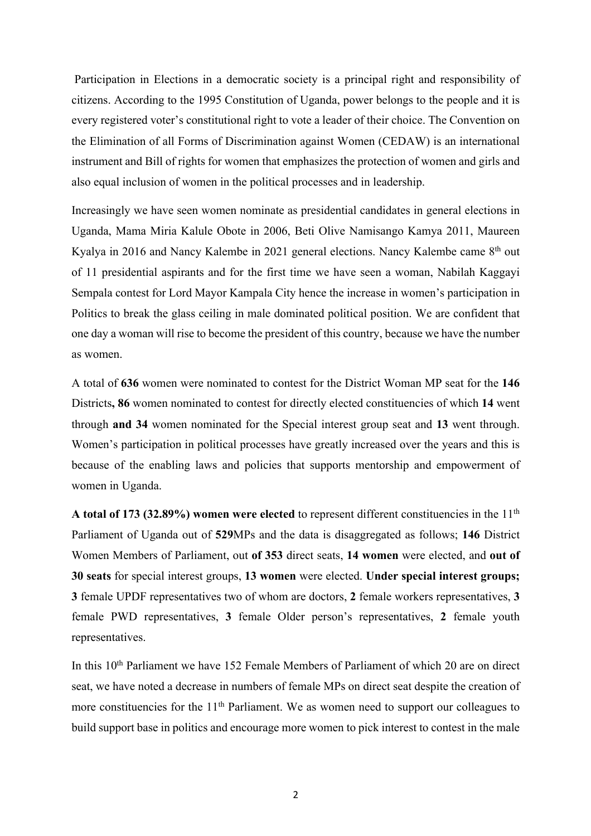Participation in Elections in a democratic society is a principal right and responsibility of citizens. According to the 1995 Constitution of Uganda, power belongs to the people and it is every registered voter's constitutional right to vote a leader of their choice. The Convention on the Elimination of all Forms of Discrimination against Women (CEDAW) is an international instrument and Bill of rights for women that emphasizes the protection of women and girls and also equal inclusion of women in the political processes and in leadership.

Increasingly we have seen women nominate as presidential candidates in general elections in Uganda, Mama Miria Kalule Obote in 2006, Beti Olive Namisango Kamya 2011, Maureen Kyalya in 2016 and Nancy Kalembe in 2021 general elections. Nancy Kalembe came 8<sup>th</sup> out of 11 presidential aspirants and for the first time we have seen a woman, Nabilah Kaggayi Sempala contest for Lord Mayor Kampala City hence the increase in women's participation in Politics to break the glass ceiling in male dominated political position. We are confident that one day a woman will rise to become the president of this country, because we have the number as women.

A total of **636** women were nominated to contest for the District Woman MP seat for the **146**  Districts**, 86** women nominated to contest for directly elected constituencies of which **14** went through **and 34** women nominated for the Special interest group seat and **13** went through. Women's participation in political processes have greatly increased over the years and this is because of the enabling laws and policies that supports mentorship and empowerment of women in Uganda.

A total of 173 (32.89%) women were elected to represent different constituencies in the 11<sup>th</sup> Parliament of Uganda out of **529**MPs and the data is disaggregated as follows; **146** District Women Members of Parliament, out **of 353** direct seats, **14 women** were elected, and **out of 30 seats** for special interest groups, **13 women** were elected. **Under special interest groups; 3** female UPDF representatives two of whom are doctors, **2** female workers representatives, **3** female PWD representatives, **3** female Older person's representatives, **2** female youth representatives.

In this 10<sup>th</sup> Parliament we have 152 Female Members of Parliament of which 20 are on direct seat, we have noted a decrease in numbers of female MPs on direct seat despite the creation of more constituencies for the 11<sup>th</sup> Parliament. We as women need to support our colleagues to build support base in politics and encourage more women to pick interest to contest in the male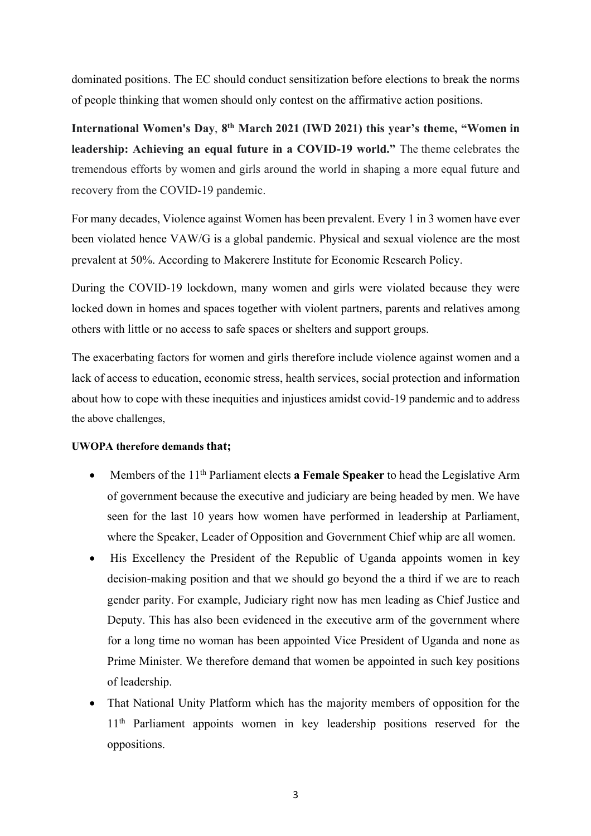dominated positions. The EC should conduct sensitization before elections to break the norms of people thinking that women should only contest on the affirmative action positions.

**International Women's Day**, **8th March 2021 (IWD 2021) this year's theme, "Women in leadership: Achieving an equal future in a COVID-19 world."** The theme celebrates the tremendous efforts by women and girls around the world in shaping a more equal future and recovery from the COVID-19 pandemic.

For many decades, Violence against Women has been prevalent. Every 1 in 3 women have ever been violated hence VAW/G is a global pandemic. Physical and sexual violence are the most prevalent at 50%. According to Makerere Institute for Economic Research Policy.

During the COVID-19 lockdown, many women and girls were violated because they were locked down in homes and spaces together with violent partners, parents and relatives among others with little or no access to safe spaces or shelters and support groups.

The exacerbating factors for women and girls therefore include violence against women and a lack of access to education, economic stress, health services, social protection and information about how to cope with these inequities and injustices amidst covid-19 pandemic and to address the above challenges,

#### **UWOPA therefore demands that;**

- Members of the 11<sup>th</sup> Parliament elects **a Female Speaker** to head the Legislative Arm of government because the executive and judiciary are being headed by men. We have seen for the last 10 years how women have performed in leadership at Parliament, where the Speaker, Leader of Opposition and Government Chief whip are all women.
- His Excellency the President of the Republic of Uganda appoints women in key decision-making position and that we should go beyond the a third if we are to reach gender parity. For example, Judiciary right now has men leading as Chief Justice and Deputy. This has also been evidenced in the executive arm of the government where for a long time no woman has been appointed Vice President of Uganda and none as Prime Minister. We therefore demand that women be appointed in such key positions of leadership.
- That National Unity Platform which has the majority members of opposition for the 11<sup>th</sup> Parliament appoints women in key leadership positions reserved for the oppositions.